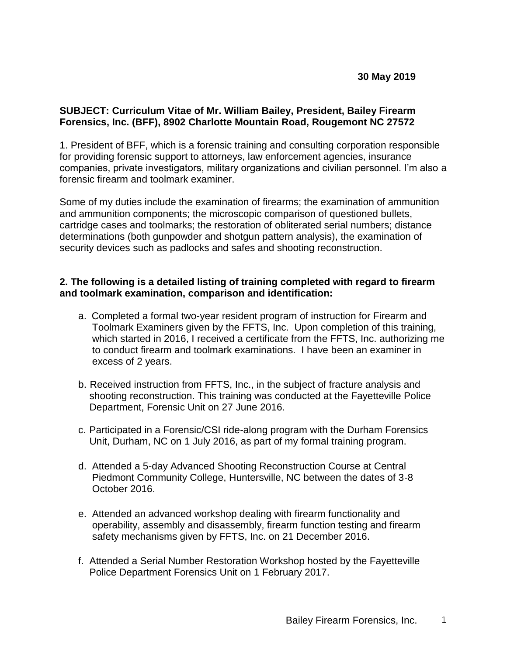## **SUBJECT: Curriculum Vitae of Mr. William Bailey, President, Bailey Firearm Forensics, Inc. (BFF), 8902 Charlotte Mountain Road, Rougemont NC 27572**

1. President of BFF, which is a forensic training and consulting corporation responsible for providing forensic support to attorneys, law enforcement agencies, insurance companies, private investigators, military organizations and civilian personnel. I'm also a forensic firearm and toolmark examiner.

Some of my duties include the examination of firearms; the examination of ammunition and ammunition components; the microscopic comparison of questioned bullets, cartridge cases and toolmarks; the restoration of obliterated serial numbers; distance determinations (both gunpowder and shotgun pattern analysis), the examination of security devices such as padlocks and safes and shooting reconstruction.

## **2. The following is a detailed listing of training completed with regard to firearm and toolmark examination, comparison and identification:**

- a.Completed a formal two-year resident program of instruction for Firearm and Toolmark Examiners given by the FFTS, Inc. Upon completion of this training, which started in 2016, I received a certificate from the FFTS, Inc. authorizing me to conduct firearm and toolmark examinations. I have been an examiner in excess of 2 years.
- b. Received instruction from FFTS, Inc., in the subject of fracture analysis and shooting reconstruction. This training was conducted at the Fayetteville Police Department, Forensic Unit on 27 June 2016.
- c. Participated in a Forensic/CSI ride-along program with the Durham Forensics Unit, Durham, NC on 1 July 2016, as part of my formal training program.
- d. Attended a 5-day Advanced Shooting Reconstruction Course at Central Piedmont Community College, Huntersville, NC between the dates of 3-8 October 2016.
- e. Attended an advanced workshop dealing with firearm functionality and operability, assembly and disassembly, firearm function testing and firearm safety mechanisms given by FFTS, Inc. on 21 December 2016.
- f. Attended a Serial Number Restoration Workshop hosted by the Fayetteville Police Department Forensics Unit on 1 February 2017.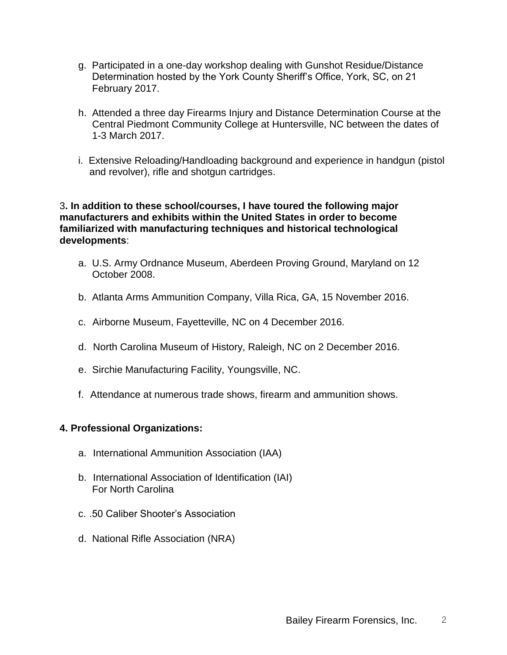- g. Participated in a one-day workshop dealing with Gunshot Residue/Distance Determination hosted by the York County Sheriff's Office, York, SC, on 21 February 2017.
- h. Attended a three day Firearms Injury and Distance Determination Course at the Central Piedmont Community College at Huntersville, NC between the dates of 1-3 March 2017.
- i. Extensive Reloading/Handloading background and experience in handgun (pistol and revolver), rifle and shotgun cartridges.

#### 3**. In addition to these school/courses, I have toured the following major manufacturers and exhibits within the United States in order to become familiarized with manufacturing techniques and historical technological developments**:

- a. U.S. Army Ordnance Museum, Aberdeen Proving Ground, Maryland on 12 October 2008.
- b. Atlanta Arms Ammunition Company, Villa Rica, GA, 15 November 2016.
- c. Airborne Museum, Fayetteville, NC on 4 December 2016.
- d. North Carolina Museum of History, Raleigh, NC on 2 December 2016.
- e. Sirchie Manufacturing Facility, Youngsville, NC.
- f. Attendance at numerous trade shows, firearm and ammunition shows.

## **4. Professional Organizations:**

- a. International Ammunition Association (IAA)
- b. International Association of Identification (IAI) For North Carolina
- c. .50 Caliber Shooter's Association
- d. National Rifle Association (NRA)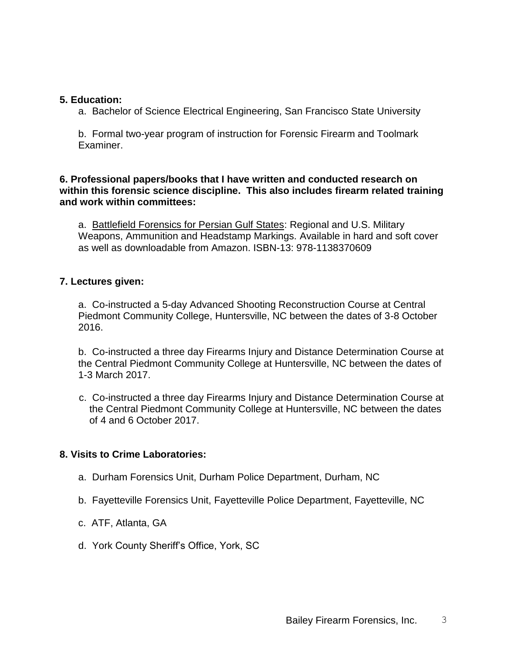#### **5. Education:**

a. Bachelor of Science Electrical Engineering, San Francisco State University

b. Formal two-year program of instruction for Forensic Firearm and Toolmark Examiner.

## **6. Professional papers/books that I have written and conducted research on within this forensic science discipline. This also includes firearm related training and work within committees:**

a. Battlefield Forensics for Persian Gulf States: Regional and U.S. Military Weapons, Ammunition and Headstamp Markings. Available in hard and soft cover as well as downloadable from Amazon. ISBN-13: 978-1138370609

## **7. Lectures given:**

a. Co-instructed a 5-day Advanced Shooting Reconstruction Course at Central Piedmont Community College, Huntersville, NC between the dates of 3-8 October 2016.

b. Co-instructed a three day Firearms Injury and Distance Determination Course at the Central Piedmont Community College at Huntersville, NC between the dates of 1-3 March 2017.

 c. Co-instructed a three day Firearms Injury and Distance Determination Course at the Central Piedmont Community College at Huntersville, NC between the dates of 4 and 6 October 2017.

# **8. Visits to Crime Laboratories:**

- a. Durham Forensics Unit, Durham Police Department, Durham, NC
- b. Fayetteville Forensics Unit, Fayetteville Police Department, Fayetteville, NC
- c. ATF, Atlanta, GA
- d. York County Sheriff's Office, York, SC